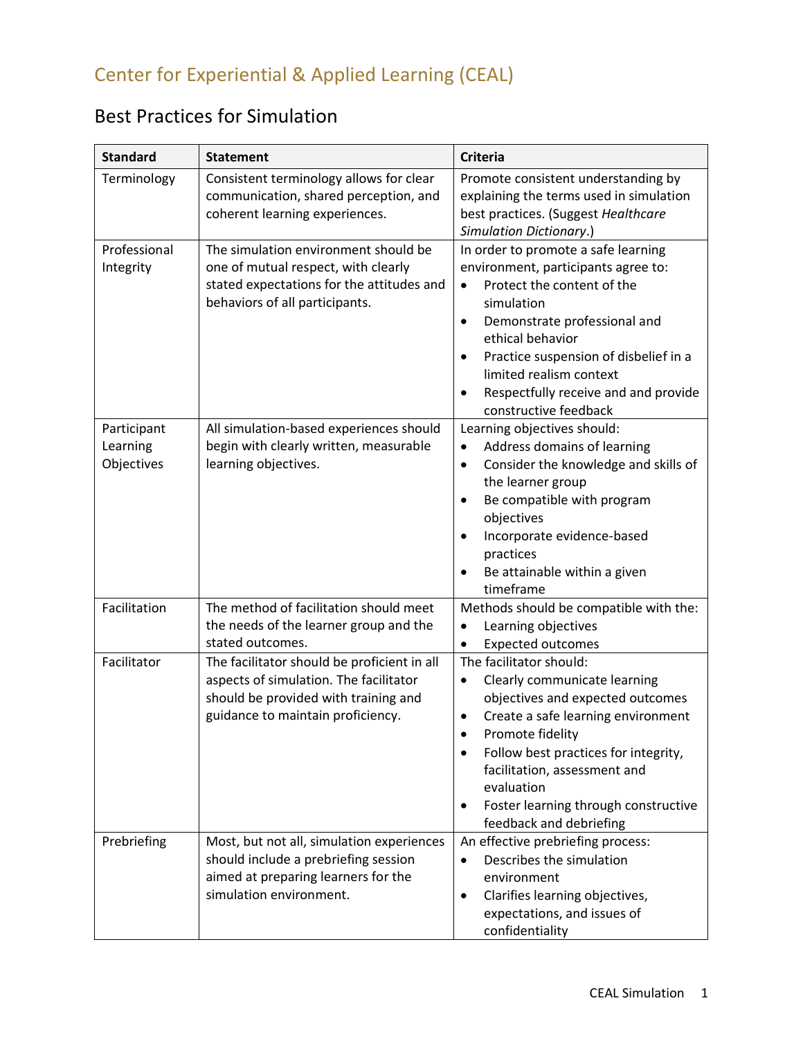## Best Practices for Simulation

| <b>Standard</b>                       | <b>Statement</b>                                                                                                                                                   | <b>Criteria</b>                                                                                                                                                                                                                                                                                                                                        |
|---------------------------------------|--------------------------------------------------------------------------------------------------------------------------------------------------------------------|--------------------------------------------------------------------------------------------------------------------------------------------------------------------------------------------------------------------------------------------------------------------------------------------------------------------------------------------------------|
| Terminology                           | Consistent terminology allows for clear<br>communication, shared perception, and<br>coherent learning experiences.                                                 | Promote consistent understanding by<br>explaining the terms used in simulation<br>best practices. (Suggest Healthcare<br><b>Simulation Dictionary.)</b>                                                                                                                                                                                                |
| Professional<br>Integrity             | The simulation environment should be<br>one of mutual respect, with clearly<br>stated expectations for the attitudes and<br>behaviors of all participants.         | In order to promote a safe learning<br>environment, participants agree to:<br>Protect the content of the<br>$\bullet$<br>simulation<br>Demonstrate professional and<br>$\bullet$<br>ethical behavior<br>Practice suspension of disbelief in a<br>$\bullet$<br>limited realism context<br>Respectfully receive and and provide<br>constructive feedback |
| Participant<br>Learning<br>Objectives | All simulation-based experiences should<br>begin with clearly written, measurable<br>learning objectives.                                                          | Learning objectives should:<br>Address domains of learning<br>$\bullet$<br>Consider the knowledge and skills of<br>$\bullet$<br>the learner group<br>Be compatible with program<br>objectives<br>Incorporate evidence-based<br>practices<br>Be attainable within a given<br>timeframe                                                                  |
| Facilitation                          | The method of facilitation should meet<br>the needs of the learner group and the<br>stated outcomes.                                                               | Methods should be compatible with the:<br>Learning objectives<br>$\bullet$<br><b>Expected outcomes</b>                                                                                                                                                                                                                                                 |
| Facilitator                           | The facilitator should be proficient in all<br>aspects of simulation. The facilitator<br>should be provided with training and<br>guidance to maintain proficiency. | The facilitator should:<br>Clearly communicate learning<br>$\bullet$<br>objectives and expected outcomes<br>Create a safe learning environment<br>Promote fidelity<br>Follow best practices for integrity,<br>facilitation, assessment and<br>evaluation<br>Foster learning through constructive<br>$\bullet$<br>feedback and debriefing               |
| Prebriefing                           | Most, but not all, simulation experiences<br>should include a prebriefing session<br>aimed at preparing learners for the<br>simulation environment.                | An effective prebriefing process:<br>Describes the simulation<br>$\bullet$<br>environment<br>Clarifies learning objectives,<br>$\bullet$<br>expectations, and issues of<br>confidentiality                                                                                                                                                             |